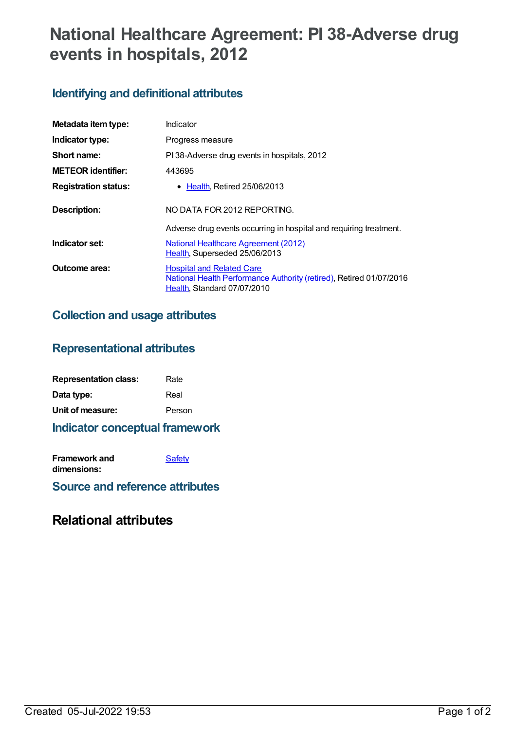# **National Healthcare Agreement: PI 38-Adverse drug events in hospitals, 2012**

## **Identifying and definitional attributes**

| Metadata item type:         | Indicator                                                                                                                              |  |
|-----------------------------|----------------------------------------------------------------------------------------------------------------------------------------|--|
| Indicator type:             | Progress measure                                                                                                                       |  |
| Short name:                 | PI38-Adverse drug events in hospitals, 2012                                                                                            |  |
| <b>METEOR identifier:</b>   | 443695                                                                                                                                 |  |
| <b>Registration status:</b> | • Health, Retired 25/06/2013                                                                                                           |  |
| <b>Description:</b>         | NO DATA FOR 2012 REPORTING.                                                                                                            |  |
|                             | Adverse drug events occurring in hospital and requiring treatment.                                                                     |  |
| Indicator set:              | <b>National Healthcare Agreement (2012)</b><br>Health, Superseded 25/06/2013                                                           |  |
| Outcome area:               | <b>Hospital and Related Care</b><br>National Health Performance Authority (retired), Retired 01/07/2016<br>Health, Standard 07/07/2010 |  |

#### **Collection and usage attributes**

#### **Representational attributes**

| <b>Representation class:</b> | Rate   |
|------------------------------|--------|
| Data type:                   | Real   |
| Unit of measure:             | Person |

#### **Indicator conceptual framework**

| <b>Framework and</b> | Safety |
|----------------------|--------|
| dimensions:          |        |

**Source and reference attributes**

### **Relational attributes**